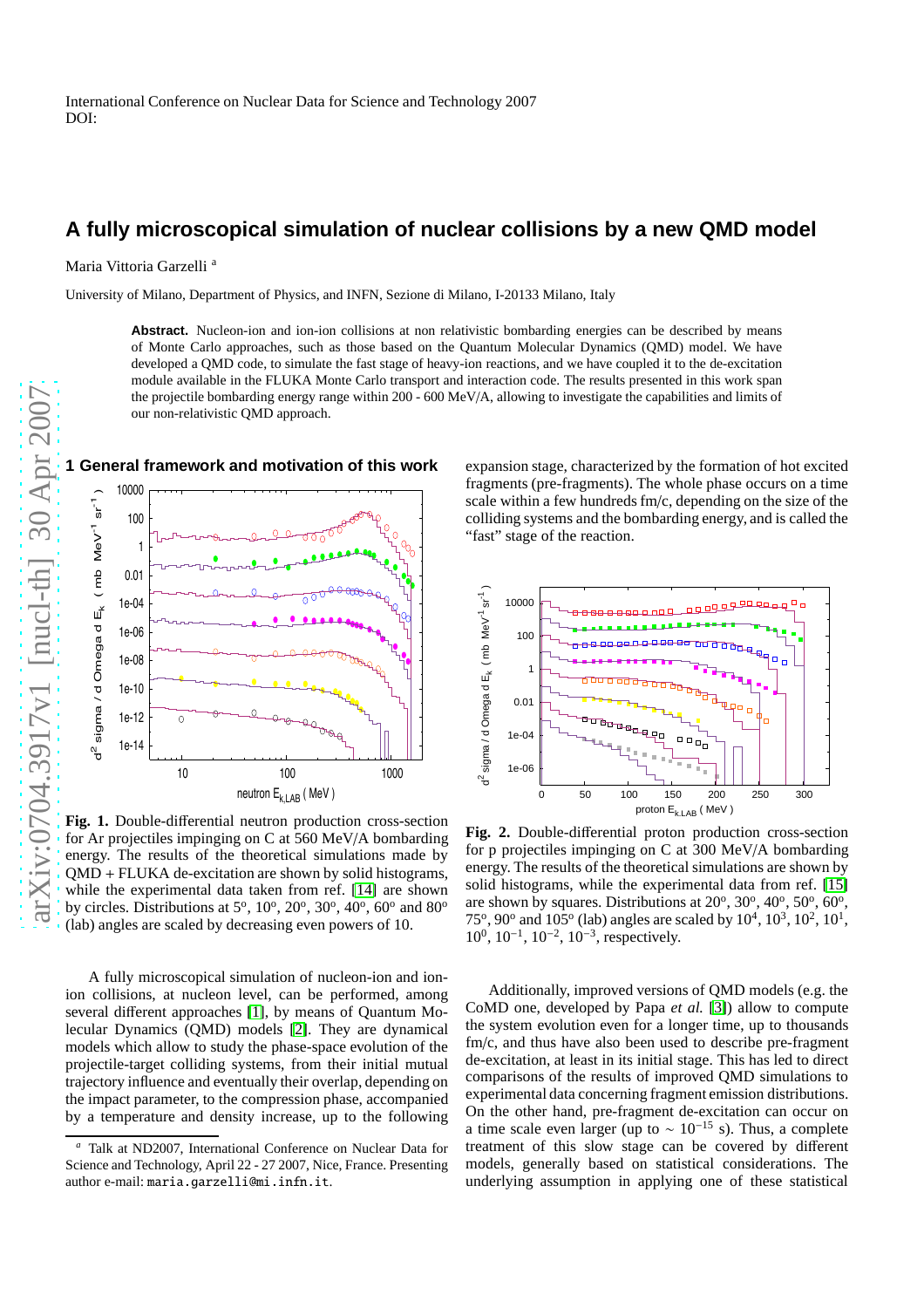# **A fully microscopical simulation of nuclear collisions by a new QMD model**

Maria Vittoria Garzelli<sup>a</sup>

University of Milano, Department of Physics, and INFN, Sezione di Milano, I-20133 Milano, Italy

Abstract. Nucleon-ion and ion-ion collisions at non relativistic bombarding energies can be described by means of Monte Carlo approaches, such as those based on the Quantum Molecular Dynamics (QMD) model. We have developed a QMD code, to simulate the fast stage of heavy-ion reactions, and we have coupled it to the de-excitation module available in the FLUKA Monte Carlo transport and interaction code. The results presented in this work span the projectile bombarding energy range within 200 - 600 MeV/A, allowing to investigate the capabilities and limits of our non-relativistic QMD approach.



<span id="page-0-1"></span>**Fig. 1.** Double-di fferential neutron production cross-section for Ar projectiles impinging on C at 560 MeV/A bombarding energy. The results of the theoretical simulations made by QMD + FLUKA de-excitation are shown by solid histograms, while the experimental data taken from ref. [\[14\]](#page-4-0) are shown by circles. Distributions at  $5^\circ$ ,  $10^\circ$ ,  $20^\circ$ ,  $30^\circ$ ,  $40^\circ$ ,  $60^\circ$  and  $80^\circ$ (lab) angles are scaled by decreasing even powers of 10.

A fully microscopical simulation of nucleon-ion and ionion collisions, at nucleon level, can be performed, among several di fferent approaches [\[1\]](#page-3-0), by means of Quantum Molecular Dynamics (QMD) models [\[2\]](#page-3-1). They are dynamical models which allow to study the phase-space evolution of the projectile-target colliding systems, from their initial mutual trajectory influence and eventually their overlap, depending on the impact parameter, to the compression phase, accompanie d by a temperature and density increase, up to the following

expansion stage, characterized by the formation of hot excited fragments (pre-fragments). The whole phase occurs on a time scale within a few hundreds fm/c, depending on the size of the colliding systems and the bombarding energy, and is called the "fast" stage of the reaction.



<span id="page-0-0"></span>**Fig. 2.** Double-di fferential proton production cross-section for p projectiles impinging on C at 300 MeV/A bombarding energy. The results of the theoretical simulations are shown by solid histograms, while the experimental data from ref. [\[15](#page-4-1) ] are shown by squares. Distributions at 20°, 30°, 40°, 50°, 60°, 75°, 90° and 105° (lab) angles are scaled by  $10^4$ ,  $10^3$ ,  $10^2$ ,  $10^1$ ,  $10^0$ ,  $10^{-1}$ ,  $10^{-2}$ ,  $10^{-3}$ , respectively.

Additionally, improved versions of QMD models (e.g. the CoMD one, developed by Papa *et al.* [\[3\]](#page-3-2)) allow to compute the system evolution even for a longer time, up to thousands fm/c, and thus have also been used to describe pre-fragment de-excitation, at least in its initial stage. This has led to direct comparisons of the results of improved QMD simulations to experimental data concerning fragment emission distributions. On the other hand, pre-fragment de-excitation can occur on a time scale even larger (up to  $\sim 10^{-15}$  s). Thus, a complete treatment of this slow stage can be covered by di fferent models, generally based on statistical considerations. Th e underlying assumption in applying one of these statistical

Talk at ND2007, International Conference on Nuclear Data for Science and Technology, April 22 - 27 2007, Nice, France. Presenting author e-mail: maria.garzelli@mi.infn.it .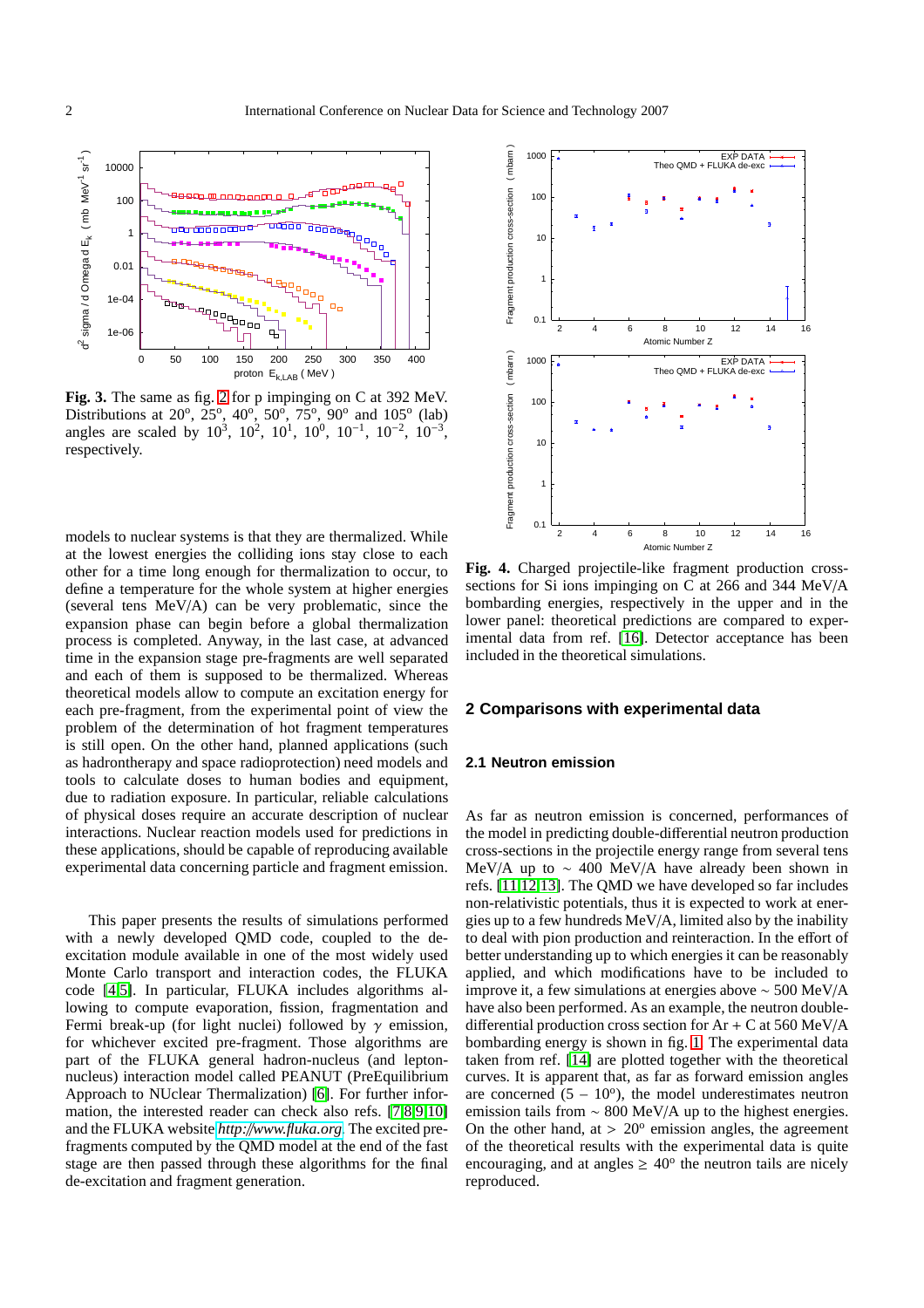

<span id="page-1-1"></span>**Fig. 3.** The same as fig. [2](#page-0-0) for p impinging on C at 392 MeV. Distributions at 20<sup>o</sup>, 25<sup>o</sup>, 40<sup>o</sup>, 50<sup>o</sup>, 75<sup>o</sup>, 90<sup>o</sup> and 105<sup>o</sup> (lab) angles are scaled by  $10^3$ ,  $10^2$ ,  $10^1$ ,  $10^0$ ,  $10^{-1}$ ,  $10^{-2}$ ,  $10^{-3}$ , respectively.

models to nuclear systems is that they are thermalized. While at the lowest energies the colliding ions stay close to each other for a time long enough for thermalization to occur, to define a temperature for the whole system at higher energies (several tens MeV/A) can be very problematic, since the expansion phase can begin before a global thermalization process is completed. Anyway, in the last case, at advanced time in the expansion stage pre-fragments are well separated and each of them is supposed to be thermalized. Whereas theoretical models allow to compute an excitation energy for each pre-fragment, from the experimental point of view the problem of the determination of hot fragment temperatures is still open. On the other hand, planned applications (such as hadrontherapy and space radioprotection) need models and tools to calculate doses to human bodies and equipment, due to radiation exposure. In particular, reliable calculations of physical doses require an accurate description of nuclear interactions. Nuclear reaction models used for predictions in these applications, should be capable of reproducing available experimental data concerning particle and fragment emission.

This paper presents the results of simulations performed with a newly developed QMD code, coupled to the deexcitation module available in one of the most widely used Monte Carlo transport and interaction codes, the FLUKA code [\[4,](#page-3-3)[5\]](#page-3-4). In particular, FLUKA includes algorithms allowing to compute evaporation, fission, fragmentation and Fermi break-up (for light nuclei) followed by  $\gamma$  emission, for whichever excited pre-fragment. Those algorithms are part of the FLUKA general hadron-nucleus (and leptonnucleus) interaction model called PEANUT (PreEquilibrium Approach to NUclear Thermalization) [\[6\]](#page-3-5). For further information, the interested reader can check also refs. [\[7](#page-3-6)[,8,](#page-3-7)[9](#page-3-8)[,10\]](#page-3-9) and the FLUKA website *http:*//*[www.fluka.org](http://www.fluka.org)*. The excited prefragments computed by the QMD model at the end of the fast stage are then passed through these algorithms for the final de-excitation and fragment generation.



<span id="page-1-0"></span>**Fig. 4.** Charged projectile-like fragment production crosssections for Si ions impinging on C at 266 and 344 MeV/A bombarding energies, respectively in the upper and in the lower panel: theoretical predictions are compared to experimental data from ref. [\[16\]](#page-4-2). Detector acceptance has been included in the theoretical simulations.

### **2 Comparisons with experimental data**

### **2.1 Neutron emission**

As far as neutron emission is concerned, performances of the model in predicting double-differential neutron production cross-sections in the projectile energy range from several tens MeV/A up to  $\sim$  400 MeV/A have already been shown in refs. [\[11,](#page-3-10)[12](#page-4-3)[,13\]](#page-4-4). The QMD we have developed so far includes non-relativistic potentials, thus it is expected to work at energies up to a few hundreds MeV/A, limited also by the inability to deal with pion production and reinteraction. In the effort of better understanding up to which energies it can be reasonably applied, and which modifications have to be included to improve it, a few simulations at energies above ∼ 500 MeV/A have also been performed. As an example, the neutron doubledifferential production cross section for  $Ar + C$  at 560 MeV/A bombarding energy is shown in fig. [1.](#page-0-1) The experimental data taken from ref. [\[14\]](#page-4-0) are plotted together with the theoretical curves. It is apparent that, as far as forward emission angles are concerned  $(5 - 10^{\circ})$ , the model underestimates neutron emission tails from ∼ 800 MeV/A up to the highest energies. On the other hand, at  $> 20^{\circ}$  emission angles, the agreement of the theoretical results with the experimental data is quite encouraging, and at angles  $\geq 40^{\circ}$  the neutron tails are nicely reproduced.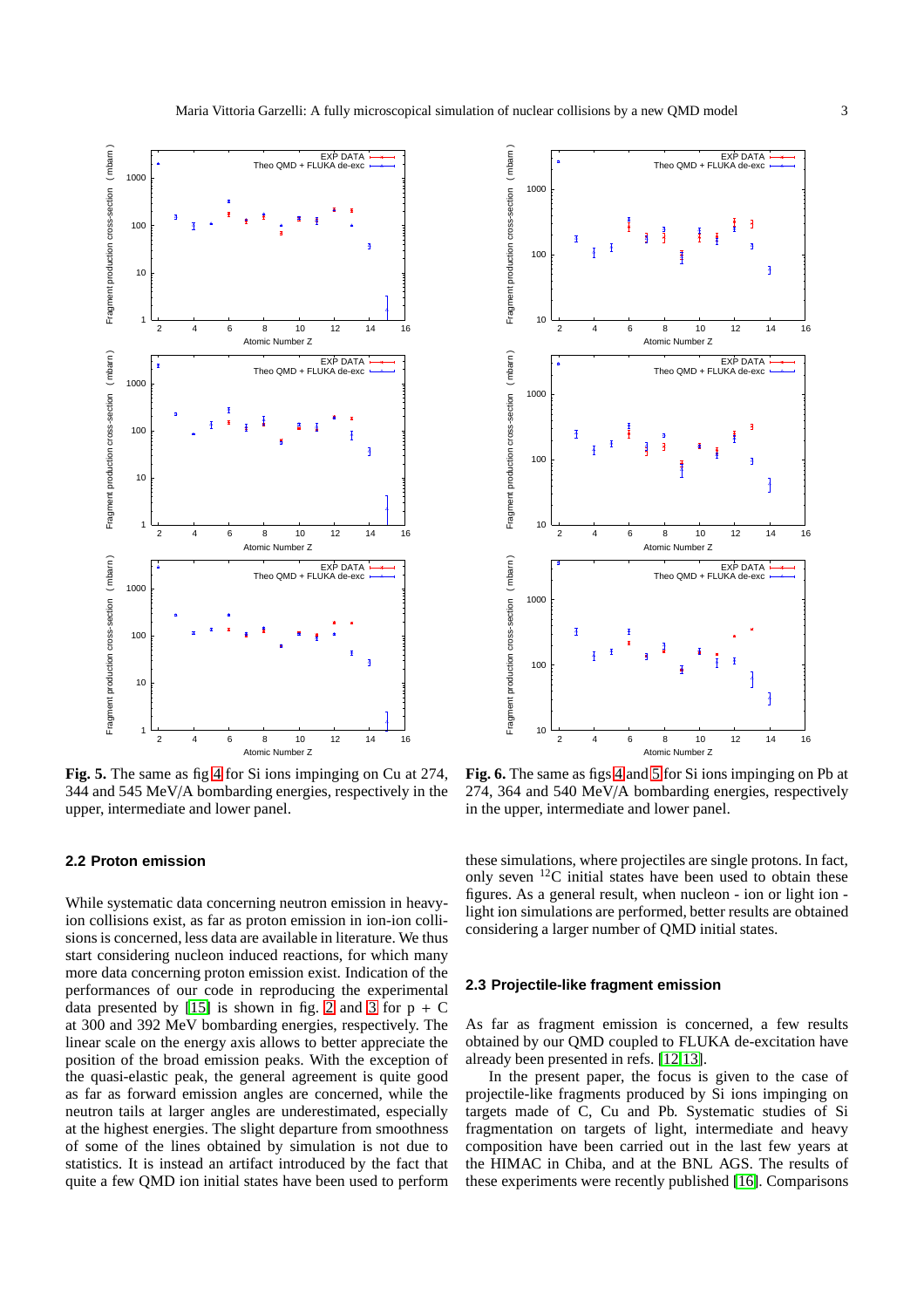

<span id="page-2-0"></span>**Fig. 5.** The same as fig [4](#page-1-0) for Si ions impinging on Cu at 274, 344 and 545 MeV/A bombarding energies, respectively in the upper, intermediate and lower panel.

# **2.2 Proton emission**

While systematic data concerning neutron emission in heavyion collisions exist, as far as proton emission in ion-ion collisions is concerned, less data are available in literature. We thus start considering nucleon induced reactions, for which many more data concerning proton emission exist. Indication of the performances of our code in reproducing the experimental data presented by [\[15\]](#page-4-1) is shown in fig. [2](#page-0-0) and [3](#page-1-1) for  $p + C$ at 300 and 392 MeV bombarding energies, respectively. The linear scale on the energy axis allows to better appreciate the position of the broad emission peaks. With the exception of the quasi-elastic peak, the general agreement is quite good as far as forward emission angles are concerned, while the neutron tails at larger angles are underestimated, especially at the highest energies. The slight departure from smoothness of some of the lines obtained by simulation is not due to statistics. It is instead an artifact introduced by the fact that quite a few QMD ion initial states have been used to perform



<span id="page-2-1"></span>**Fig. 6.** The same as figs [4](#page-1-0) and [5](#page-2-0) for Si ions impinging on Pb at 274, 364 and 540 MeV/A bombarding energies, respectively in the upper, intermediate and lower panel.

these simulations, where projectiles are single protons. In fact, only seven <sup>12</sup>C initial states have been used to obtain these figures. As a general result, when nucleon - ion or light ion light ion simulations are performed, better results are obtained considering a larger number of QMD initial states.

#### **2.3 Projectile-like fragment emission**

As far as fragment emission is concerned, a few results obtained by our QMD coupled to FLUKA de-excitation have already been presented in refs. [\[12,](#page-4-3)[13\]](#page-4-4).

In the present paper, the focus is given to the case of projectile-like fragments produced by Si ions impinging on targets made of C, Cu and Pb. Systematic studies of Si fragmentation on targets of light, intermediate and heavy composition have been carried out in the last few years at the HIMAC in Chiba, and at the BNL AGS. The results of these experiments were recently published [\[16\]](#page-4-2). Comparisons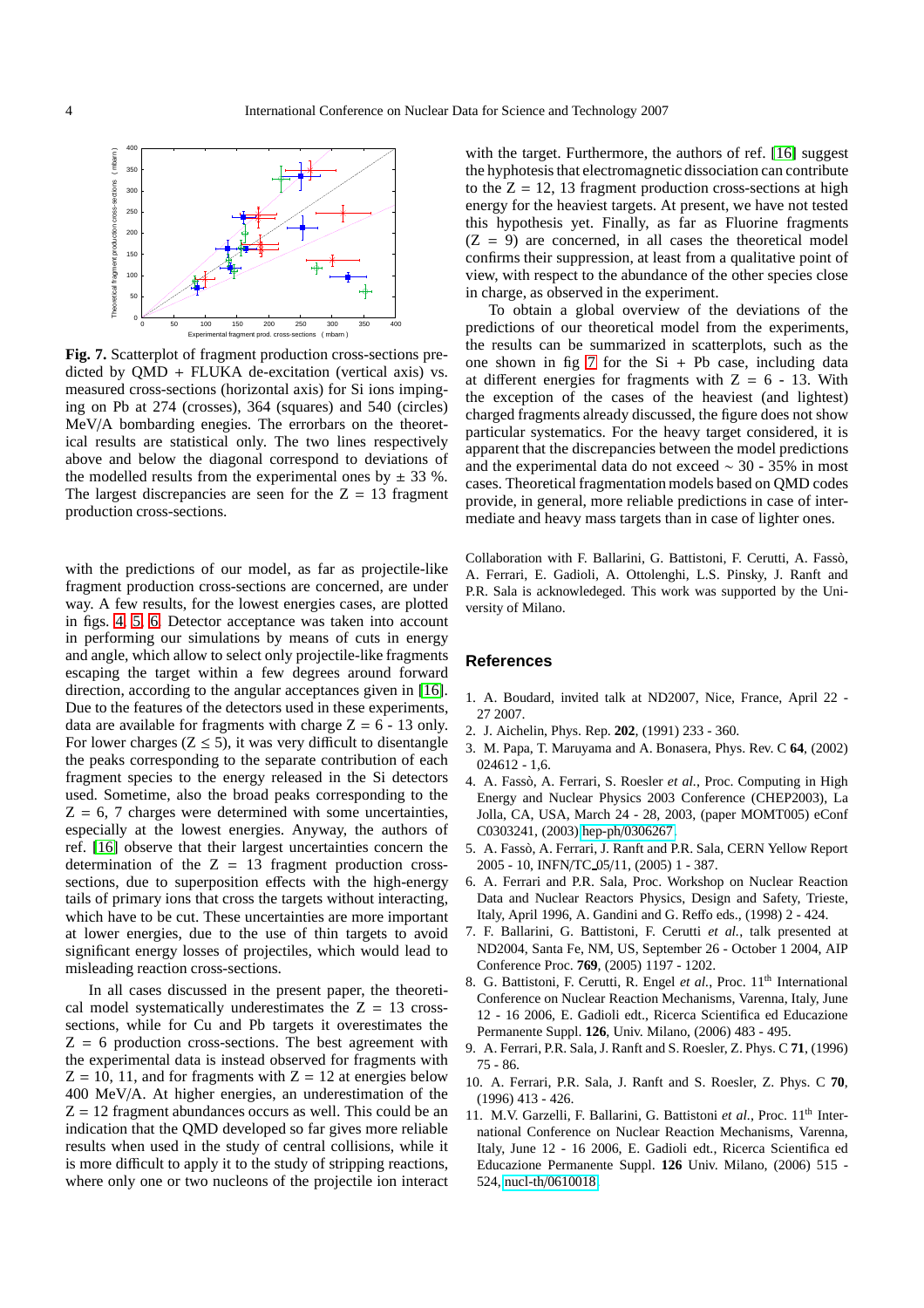

<span id="page-3-11"></span>**Fig. 7.** Scatterplot of fragment production cross-sections predicted by QMD + FLUKA de-excitation (vertical axis) vs. measured cross-sections (horizontal axis) for Si ions impinging on Pb at 274 (crosses), 364 (squares) and 540 (circles) MeV/A bombarding enegies. The errorbars on the theoretical results are statistical only. The two lines respectively above and below the diagonal correspond to deviations of the modelled results from the experimental ones by  $\pm$  33 %. The largest discrepancies are seen for the  $Z = 13$  fragment production cross-sections.

with the predictions of our model, as far as projectile-like fragment production cross-sections are concerned, are under way. A few results, for the lowest energies cases, are plotted in figs. [4,](#page-1-0) [5,](#page-2-0) [6.](#page-2-1) Detector acceptance was taken into account in performing our simulations by means of cuts in energy and angle, which allow to select only projectile-like fragments escaping the target within a few degrees around forward direction, according to the angular acceptances given in [\[16\]](#page-4-2). Due to the features of the detectors used in these experiments, data are available for fragments with charge  $Z = 6 - 13$  only. For lower charges ( $Z \le 5$ ), it was very difficult to disentangle the peaks corresponding to the separate contribution of each fragment species to the energy released in the Si detectors used. Sometime, also the broad peaks corresponding to the  $Z = 6, 7$  charges were determined with some uncertainties, especially at the lowest energies. Anyway, the authors of ref. [\[16\]](#page-4-2) observe that their largest uncertainties concern the determination of the  $Z = 13$  fragment production crosssections, due to superposition effects with the high-energy tails of primary ions that cross the targets without interacting, which have to be cut. These uncertainties are more important at lower energies, due to the use of thin targets to avoid significant energy losses of projectiles, which would lead to misleading reaction cross-sections.

In all cases discussed in the present paper, the theoretical model systematically underestimates the  $Z = 13$  crosssections, while for Cu and Pb targets it overestimates the  $Z = 6$  production cross-sections. The best agreement with the experimental data is instead observed for fragments with  $Z = 10$ , 11, and for fragments with  $Z = 12$  at energies below 400 MeV/A. At higher energies, an underestimation of the  $Z = 12$  fragment abundances occurs as well. This could be an indication that the QMD developed so far gives more reliable results when used in the study of central collisions, while it is more difficult to apply it to the study of stripping reactions, where only one or two nucleons of the projectile ion interact with the target. Furthermore, the authors of ref. [\[16\]](#page-4-2) suggest the hyphotesis that electromagnetic dissociation can contribute to the  $Z = 12$ , 13 fragment production cross-sections at high energy for the heaviest targets. At present, we have not tested this hypothesis yet. Finally, as far as Fluorine fragments  $(Z = 9)$  are concerned, in all cases the theoretical model confirms their suppression, at least from a qualitative point of view, with respect to the abundance of the other species close in charge, as observed in the experiment.

To obtain a global overview of the deviations of the predictions of our theoretical model from the experiments, the results can be summarized in scatterplots, such as the one shown in fig [7](#page-3-11) for the  $Si + Pb$  case, including data at different energies for fragments with  $Z = 6 - 13$ . With the exception of the cases of the heaviest (and lightest) charged fragments already discussed, the figure does not show particular systematics. For the heavy target considered, it is apparent that the discrepancies between the model predictions and the experimental data do not exceed ∼ 30 - 35% in most cases. Theoretical fragmentation models based on QMD codes provide, in general, more reliable predictions in case of intermediate and heavy mass targets than in case of lighter ones.

Collaboration with F. Ballarini, G. Battistoni, F. Cerutti, A. Fassò, A. Ferrari, E. Gadioli, A. Ottolenghi, L.S. Pinsky, J. Ranft and P.R. Sala is acknowledeged. This work was supported by the University of Milano.

## **References**

- <span id="page-3-1"></span><span id="page-3-0"></span>1. A. Boudard, invited talk at ND2007, Nice, France, April 22 - 27 2007.
- <span id="page-3-2"></span>2. J. Aichelin, Phys. Rep. **202**, (1991) 233 - 360.
- 3. M. Papa, T. Maruyama and A. Bonasera, Phys. Rev. C **64**, (2002)  $024612 - 1,6$
- <span id="page-3-3"></span>4. A. Fassò, A. Ferrari, S. Roesler et al., Proc. Computing in High Energy and Nuclear Physics 2003 Conference (CHEP2003), La Jolla, CA, USA, March 24 - 28, 2003, (paper MOMT005) eConf C0303241, (2003) hep-ph/[0306267.](http://it.arXiv.org/abs/hep-ph/0306267)
- <span id="page-3-4"></span>5. A. Fassò, A. Ferrari, J. Ranft and P.R. Sala, CERN Yellow Report 2005 - 10, INFN/TC 05/11, (2005) 1 - 387.
- <span id="page-3-5"></span>6. A. Ferrari and P.R. Sala, Proc. Workshop on Nuclear Reaction Data and Nuclear Reactors Physics, Design and Safety, Trieste, Italy, April 1996, A. Gandini and G. Reffo eds., (1998) 2 - 424.
- <span id="page-3-6"></span>7. F. Ballarini, G. Battistoni, F. Cerutti *et al.*, talk presented at ND2004, Santa Fe, NM, US, September 26 - October 1 2004, AIP Conference Proc. **769**, (2005) 1197 - 1202.
- <span id="page-3-7"></span>8. G. Battistoni, F. Cerutti, R. Engel *et al.*, Proc. 11<sup>th</sup> International Conference on Nuclear Reaction Mechanisms, Varenna, Italy, June 12 - 16 2006, E. Gadioli edt., Ricerca Scientifica ed Educazione Permanente Suppl. **126**, Univ. Milano, (2006) 483 - 495.
- <span id="page-3-8"></span>9. A. Ferrari, P.R. Sala, J. Ranft and S. Roesler, Z. Phys. C **71**, (1996) 75 - 86.
- <span id="page-3-9"></span>10. A. Ferrari, P.R. Sala, J. Ranft and S. Roesler, Z. Phys. C **70**, (1996) 413 - 426.
- <span id="page-3-10"></span>11. M.V. Garzelli, F. Ballarini, G. Battistoni et al., Proc. 11<sup>th</sup> International Conference on Nuclear Reaction Mechanisms, Varenna, Italy, June 12 - 16 2006, E. Gadioli edt., Ricerca Scientifica ed Educazione Permanente Suppl. **126** Univ. Milano, (2006) 515 - 524, nucl-th/[0610018.](http://it.arXiv.org/abs/nucl-th/0610018)